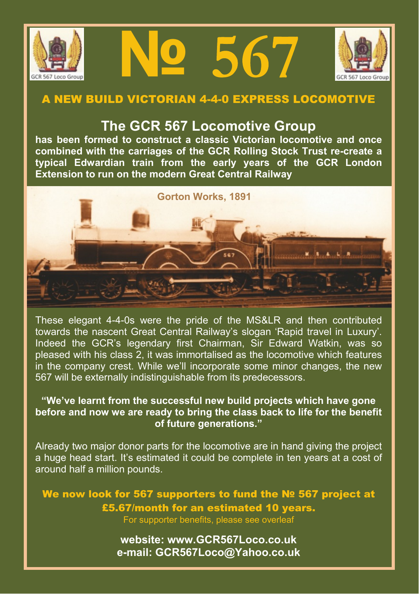





## **A NEW BUILD VICTORIAN 4-4-0 EXPRESS LOCOMOTIVE**

## **The GCR 567 Locomotive Group**

**has been formed to construct a classic Victorian locomotive and once combined with the carriages of the GCR Rolling Stock Trust re-create a typical Edwardian train from the early years of the GCR London Extension to run on the modern Great Central Railway**



These elegant 4-4-0s were the pride of the MS&LR and then contributed towards the nascent Great Central Railway's slogan 'Rapid travel in Luxury'. Indeed the GCR's legendary first Chairman, Sir Edward Watkin, was so pleased with his class 2, it was immortalised as the locomotive which features in the company crest. While we'll incorporate some minor changes, the new 567 will be externally indistinguishable from its predecessors.

## **"We've learnt from the successful new build projects which have gone before and now we are ready to bring the class back to life for the benefit of future generations."**

Already two major donor parts for the locomotive are in hand giving the project a huge head start. It's estimated it could be complete in ten years at a cost of around half a million pounds.

**We now look for 567 supporters to fund the № 567 project at £5.67/month for an estimated 10 years.** For supporter benefits, please see overleaf

> **website: www.GCR567Loco.co.uk e-mail: GCR567Loco@Yahoo.co.uk**